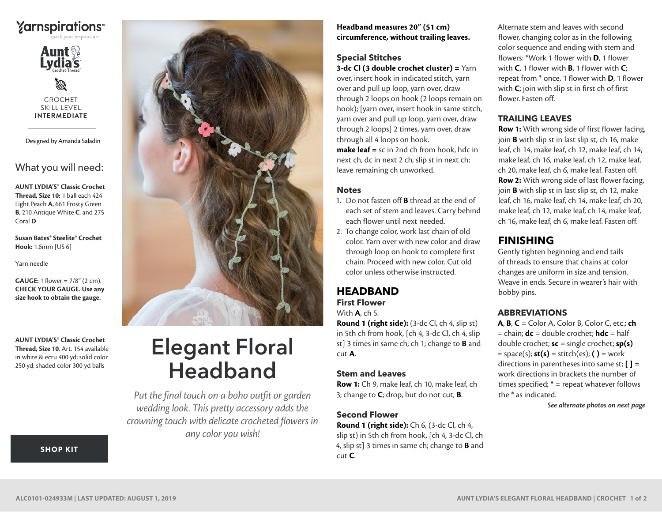



CROCHET SKILL LEVEL **INTERMEDIATE**

Designed by Amanda Saladin

What you will need:

**AUNT LYDIA'S® Classic Crochet Thread, Size 10:** 1 ball each 424 Light Peach **A**, 661 Frosty Green **B**, 210 Antique White **C**, and 275 Coral **D**

**Susan Bates® Steelite® Crochet Hook:** 1.6mm [US 6]

Yarn needle

**GAUGE:** 1 flower = 7/8" (2 cm). **CHECK YOUR GAUGE. Use any size hook to obtain the gauge.**

**AUNT LYDIA'S® Classic Crochet Thread, Size 10**, Art. 154 available in white & ecru 400 yd; solid color 250 yd; shaded color 300 yd balls



# Elegant Floral **Headband**

*Put the final touch on a boho outfit or garden wedding look. This pretty accessory adds the crowning touch with delicate crocheted flowers in any color you wish!*

#### **Headband measures 20" (51 cm) circumference, without trailing leaves.**

# **Special Stitches**

**3-dc Cl (3 double crochet cluster) =** Yarn over, insert hook in indicated stitch, yarn over and pull up loop, yarn over, draw through 2 loops on hook (2 loops remain on hook); [yarn over, insert hook in same stitch, yarn over and pull up loop, yarn over, draw through 2 loops] 2 times, yarn over, draw through all 4 loops on hook.

**make leaf =** sc in 2nd ch from hook, hdc in next ch, dc in next 2 ch, slip st in next ch; leave remaining ch unworked.

#### **Notes**

- 1. Do not fasten off **B** thread at the end of each set of stem and leaves. Carry behind each flower until next needed.
- 2. To change color, work last chain of old color. Yarn over with new color and draw through loop on hook to complete first chain. Proceed with new color. Cut old color unless otherwise instructed.

#### **HEADBAND First Flower** With **A**, ch 5.

**Round 1 (right side):** (3-dc Cl, ch 4, slip st) in 5th ch from hook, [ch 4, 3-dc Cl, ch 4, slip st] 3 times in same ch, ch 1; change to **B** and cut **A**.

#### **Stem and Leaves**

**Row 1:** Ch 9, make leaf, ch 10, make leaf, ch 3; change to **C**; drop, but do not cut, **B**.

## **Second Flower**

**Round 1 (right side):** Ch 6, (3-dc Cl, ch 4, slip st) in 5th ch from hook, [ch 4, 3-dc Cl, ch 4, slip st] 3 times in same ch; change to **B** and cut **C**.

Alternate stem and leaves with second flower, changing color as in the following color sequence and ending with stem and flowers: \*Work 1 flower with **D**, 1 flower with **C**, 1 flower with **B**, 1 flower with **C**; repeat from \* once, 1 flower with **D**, 1 flower with **C**; join with slip st in first ch of first flower. Fasten off.

### **TRAILING LEAVES**

**Row 1:** With wrong side of first flower facing, join **B** with slip st in last slip st, ch 16, make leaf, ch 14, make leaf, ch 12, make leaf, ch 14, make leaf, ch 16, make leaf, ch 12, make leaf, ch 20, make leaf, ch 6, make leaf. Fasten off. **Row 2:** With wrong side of last flower facing, join **B** with slip st in last slip st, ch 12, make leaf, ch 16, make leaf, ch 14, make leaf, ch 20, make leaf, ch 12, make leaf, ch 14, make leaf, ch 16, make leaf, ch 6, make leaf. Fasten off.

# **FINISHING**

Gently tighten beginning and end tails of threads to ensure that chains at color changes are uniform in size and tension. Weave in ends. Secure in wearer's hair with bobby pins.

## **ABBREVIATIONS**

**A**, **B**, **C** = Color A, Color B, Color C, etc.; **ch** = chain; **dc** = double crochet; **hdc** = half double crochet; **sc** = single crochet; **sp(s)** = space(s); **st(s)** = stitch(es); **( )** = work directions in parentheses into same st; **[ ]** = work directions in brackets the number of times specified; **\*** = repeat whatever follows the \* as indicated.

*See alternate photos on next page*

[SHOP KIT](https://www.yarnspirations.com/aunt-lydias-elegant-floral-headband/ALC0101-024933M.html#utm_source=pdf-yarnspirations&utm_medium=referral&utm_campaign=pdf-ALC0101-024933M)